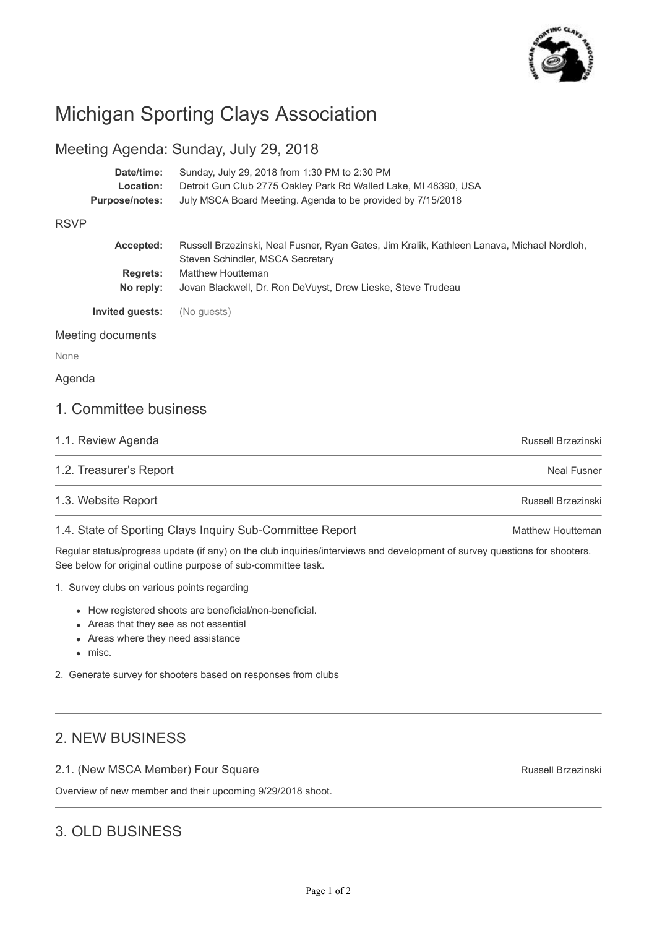

# Michigan Sporting Clays Association

### Meeting Agenda: Sunday, July 29, 2018

| Date/time:     | Sunday, July 29, 2018 from 1:30 PM to 2:30 PM                   |
|----------------|-----------------------------------------------------------------|
| Location:      | Detroit Gun Club 2775 Oakley Park Rd Walled Lake, MI 48390, USA |
| Purpose/notes: | July MSCA Board Meeting. Agenda to be provided by 7/15/2018     |

#### RSVP

| Accepted:                    | Russell Brzezinski, Neal Fusner, Ryan Gates, Jim Kralik, Kathleen Lanava, Michael Nordloh,<br>Steven Schindler, MSCA Secretary |
|------------------------------|--------------------------------------------------------------------------------------------------------------------------------|
| <b>Regrets:</b><br>No reply: | Matthew Houtteman<br>Jovan Blackwell, Dr. Ron DeVuyst, Drew Lieske, Steve Trudeau                                              |
| Invited guests:              | (No quests)                                                                                                                    |

#### Meeting documents

None

#### Agenda

### 1. Committee business

| 1.1. Review Agenda      | Russell Brzezinski |
|-------------------------|--------------------|
| 1.2. Treasurer's Report | Neal Fusner        |
| 1.3. Website Report     | Russell Brzezinski |

#### 1.4. State of Sporting Clays Inquiry Sub-Committee Report

Regular status/progress update (if any) on the club inquiries/interviews and development of survey questions for shooters. See below for original outline purpose of sub-committee task.

- 1. Survey clubs on various points regarding
	- How registered shoots are beneficial/non-beneficial.
	- Areas that they see as not essential
	- Areas where they need assistance
	- misc.
- 2. Generate survey for shooters based on responses from clubs

## 2. NEW BUSINESS

#### 2.1. (New MSCA Member) Four Square

Overview of new member and their upcoming 9/29/2018 shoot.

## 3. OLD BUSINESS

Russell Brzezinski

Matthew Houtteman